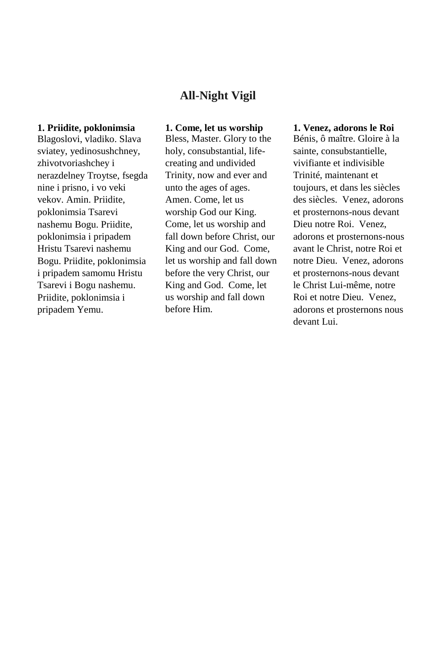# **All-Night Vigil**

# **1. Priidite, poklonimsia**

Blagoslovi, vladiko. Slava sviatey, yedinosushchney, zhivotvoriashchey i nerazdelney Troytse, fsegda nine i prisno, i vo veki vekov. Amin. Priidite, poklonimsia Tsarevi nashemu Bogu. Priidite, poklonimsia i pripadem Hristu Tsarevi nashemu Bogu. Priidite, poklonimsia i pripadem samomu Hristu Tsarevi i Bogu nashemu. Priidite, poklonimsia i pripadem Yemu.

# **1. Come, let us worship**

Bless, Master. Glory to the holy, consubstantial, lifecreating and undivided Trinity, now and ever and unto the ages of ages. Amen. Come, let us worship God our King. Come, let us worship and fall down before Christ, our King and our God. Come, let us worship and fall down before the very Christ, our King and God. Come, let us worship and fall down before Him.

### **1. Venez, adorons le Roi**

Bénis, ô maître. Gloire à la sainte, consubstantielle, vivifiante et indivisible Trinité, maintenant et toujours, et dans les siècles des siècles. Venez, adorons et prosternons-nous devant Dieu notre Roi. Venez, adorons et prosternons-nous avant le Christ, notre Roi et notre Dieu. Venez, adorons et prosternons-nous devant le Christ Lui-même, notre Roi et notre Dieu. Venez, adorons et prosternons nous devant Lui.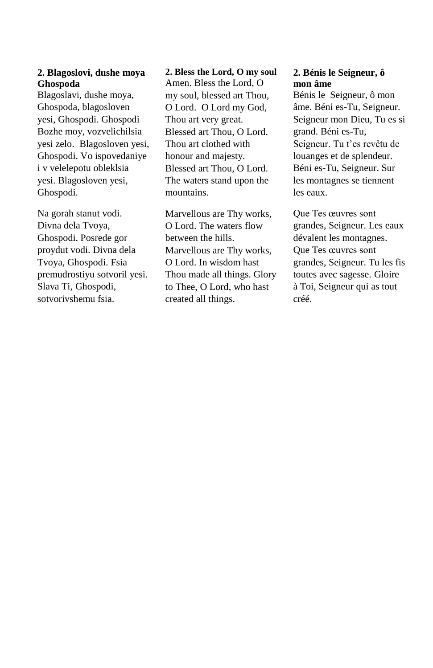# **2. Blagoslovi, dushe moya Ghospoda**

Blagoslavi, dushe moya, Ghospoda, blagosloven yesi, Ghospodi. Ghospodi Bozhe moy, vozvelichilsia yesi zelo. Blagosloven yesi, Ghospodi. Vo ispovedaniye i v velelepotu obleklsia yesi. Blagosloven yesi, Ghospodi.

Na gorah stanut vodi. Divna dela Tvoya, Ghospodi. Posrede gor proydut vodi. Divna dela Tvoya, Ghospodi. Fsia premudrostiyu sotvoril yesi. Slava Ti, Ghospodi, sotvorivshemu fsia.

### **2. Bless the Lord, O my soul**

Amen. Bless the Lord, O my soul, blessed art Thou, O Lord. O Lord my God, Thou art very great. Blessed art Thou, O Lord. Thou art clothed with honour and majesty. Blessed art Thou, O Lord. The waters stand upon the mountains.

Marvellous are Thy works, O Lord. The waters flow between the hills. Marvellous are Thy works, O Lord. In wisdom hast Thou made all things. Glory to Thee, O Lord, who hast created all things.

## **2. Bénis le Seigneur, ô mon âme**

Bénis le Seigneur, ô mon âme. Béni es-Tu, Seigneur. Seigneur mon Dieu, Tu es si grand. Béni es-Tu, Seigneur. Tu t'es revêtu de louanges et de splendeur. Béni es-Tu, Seigneur. Sur les montagnes se tiennent les eaux.

Que Tes œuvres sont grandes, Seigneur. Les eaux dévalent les montagnes. Que Tes œuvres sont grandes, Seigneur. Tu les fis toutes avec sagesse. Gloire à Toi, Seigneur qui as tout créé.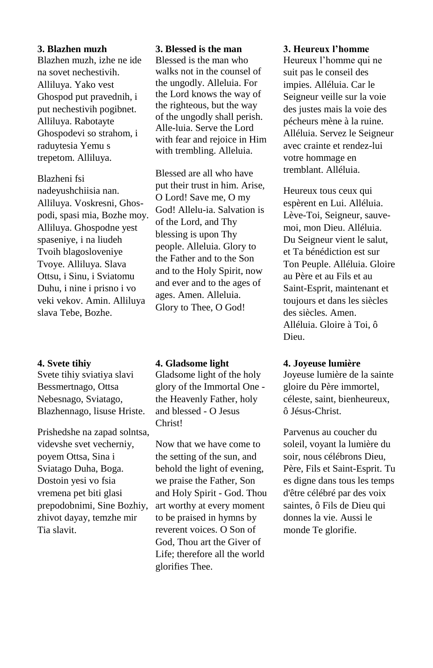#### **3. Blazhen muzh**

Blazhen muzh, izhe ne ide na sovet nechestivih. Alliluya. Yako vest Ghospod put pravednih, i put nechestivih pogibnet. Alliluya. Rabotayte Ghospodevi so strahom, i raduytesia Yemu s trepetom. Alliluya.

Blazheni fsi nadeyushchiisia nan. Alliluya. Voskresni, Ghospodi, spasi mia, Bozhe moy. Alliluya. Ghospodne yest spaseniye, i na liudeh Tvoih blagosloveniye Tvoye. Alliluya. Slava Ottsu, i Sinu, i Sviatomu Duhu, i nine i prisno i vo veki vekov. Amin. Alliluya slava Tebe, Bozhe.

### **4. Svete tihiy**

Svete tihiy sviatiya slavi Bessmertnago, Ottsa Nebesnago, Sviatago, Blazhennago, lisuse Hriste.

Prishedshe na zapad solntsa, videvshe svet vecherniy, poyem Ottsa, Sina i Sviatago Duha, Boga. Dostoin yesi vo fsia vremena pet biti glasi prepodobnimi, Sine Bozhiy, zhivot dayay, temzhe mir Tia slavit.

#### **3. Blessed is the man**

Blessed is the man who walks not in the counsel of the ungodly. Alleluia. For the Lord knows the way of the righteous, but the way of the ungodly shall perish. Alle-luia. Serve the Lord with fear and rejoice in Him with trembling. Alleluia.

Blessed are all who have put their trust in him. Arise, O Lord! Save me, O my God! Allelu-ia. Salvation is of the Lord, and Thy blessing is upon Thy people. Alleluia. Glory to the Father and to the Son and to the Holy Spirit, now and ever and to the ages of ages. Amen. Alleluia. Glory to Thee, O God!

## **4. Gladsome light**

Gladsome light of the holy glory of the Immortal One the Heavenly Father, holy and blessed - O Jesus Christ!

Now that we have come to the setting of the sun, and behold the light of evening, we praise the Father, Son and Holy Spirit - God. Thou art worthy at every moment to be praised in hymns by reverent voices. O Son of God, Thou art the Giver of Life; therefore all the world glorifies Thee.

#### **3. Heureux l'homme**

Heureux l'homme qui ne suit pas le conseil des impies. Alléluia. Car le Seigneur veille sur la voie des justes mais la voie des pécheurs mène à la ruine. Alléluia. Servez le Seigneur avec crainte et rendez-lui votre hommage en tremblant. Alléluia.

Heureux tous ceux qui espèrent en Lui. Alléluia. Lève-Toi, Seigneur, sauvemoi, mon Dieu. Alléluia. Du Seigneur vient le salut, et Ta bénédiction est sur Ton Peuple. Alléluia. Gloire au Père et au Fils et au Saint-Esprit, maintenant et toujours et dans les siècles des siècles. Amen. Alléluia. Gloire à Toi, ô Dieu.

## **4. Joyeuse lumière**

Joyeuse lumière de la sainte gloire du Père immortel, céleste, saint, bienheureux, ô Jésus-Christ.

Parvenus au coucher du soleil, voyant la lumière du soir, nous célébrons Dieu, Père, Fils et Saint-Esprit. Tu es digne dans tous les temps d'être célébré par des voix saintes, ô Fils de Dieu qui donnes la vie. Aussi le monde Te glorifie.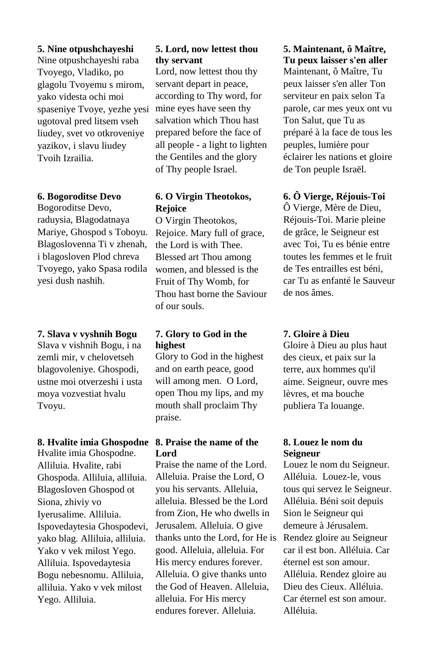### **5. Nine otpushchayeshi**

Nine otpushchayeshi raba Tvoyego, Vladiko, po glagolu Tvoyemu s mirom, yako videsta ochi moi spaseniye Tvoye, yezhe yesi ugotoval pred litsem vseh liudey, svet vo otkroveniye yazikov, i slavu liudey Tvoih Izrailia.

### **6. Bogoroditse Devo**

Bogoroditse Devo, raduysia, Blagodatnaya Mariye, Ghospod s Toboyu. Blagoslovenna Ti v zhenah, i blagosloven Plod chreva Tvoyego, yako Spasa rodila yesi dush nashih.

**7. Slava v vyshnih Bogu** Slava v vishnih Bogu, i na zemli mir, v chelovetseh blagovoleniye. Ghospodi, ustne moi otverzeshi i usta moya vozvestiat hvalu Tvoyu.

#### **8. Hvalite imia Ghospodne**

Hvalite imia Ghospodne. Alliluia. Hvalite, rabi Ghospoda. Alliluia, alliluia. Blagosloven Ghospod ot Siona, zhiviy vo Iyerusalime. Alliluia. Ispovedaytesia Ghospodevi, yako blag. Alliluia, alliluia. Yako v vek milost Yego. Alliluia. Ispovedaytesia Bogu nebesnomu. Alliluia, alliluia. Yako v vek milost Yego. Alliluia.

# **5. Lord, now lettest thou thy servant**

Lord, now lettest thou thy servant depart in peace, according to Thy word, for mine eyes have seen thy salvation which Thou hast prepared before the face of all people - a light to lighten the Gentiles and the glory of Thy people Israel.

# **6. O Virgin Theotokos, Rejoice**

O Virgin Theotokos, Rejoice. Mary full of grace, the Lord is with Thee. Blessed art Thou among women, and blessed is the Fruit of Thy Womb, for Thou hast borne the Saviour of our souls.

# **7. Glory to God in the highest**

Glory to God in the highest and on earth peace, good will among men. O Lord, open Thou my lips, and my mouth shall proclaim Thy praise.

# **8. Praise the name of the Lord**

Praise the name of the Lord. Alleluia. Praise the Lord, O you his servants. Alleluia, alleluia. Blessed be the Lord from Zion, He who dwells in Jerusalem. Alleluia. O give thanks unto the Lord, for He is good. Alleluia, alleluia. For His mercy endures forever. Alleluia. O give thanks unto the God of Heaven. Alleluia, alleluia. For His mercy endures forever. Alleluia.

# **5. Maintenant, ô Maître, Tu peux laisser s'en aller**

Maintenant, ô Maître, Tu peux laisser s'en aller Ton serviteur en paix selon Ta parole, car mes yeux ont vu Ton Salut, que Tu as préparé à la face de tous les peuples, lumière pour éclairer les nations et gloire de Ton peuple Israël.

# **6. Ô Vierge, Réjouis-Toi**

Ô Vierge, Mère de Dieu, Réjouis-Toi. Marie pleine de grâce, le Seigneur est avec Toi, Tu es bénie entre toutes les femmes et le fruit de Tes entrailles est béni, car Tu as enfanté le Sauveur de nos âmes.

## **7. Gloire à Dieu**

Gloire à Dieu au plus haut des cieux, et paix sur la terre, aux hommes qu'il aime. Seigneur, ouvre mes lèvres, et ma bouche publiera Ta louange.

# **8. Louez le nom du Seigneur**

Louez le nom du Seigneur. Alléluia. Louez-le, vous tous qui servez le Seigneur. Alléluia. Béni soit depuis Sion le Seigneur qui demeure à Jérusalem. Rendez gloire au Seigneur car il est bon. Alléluia. Car éternel est son amour. Alléluia. Rendez gloire au Dieu des Cieux. Alléluia. Car éternel est son amour. Alléluia.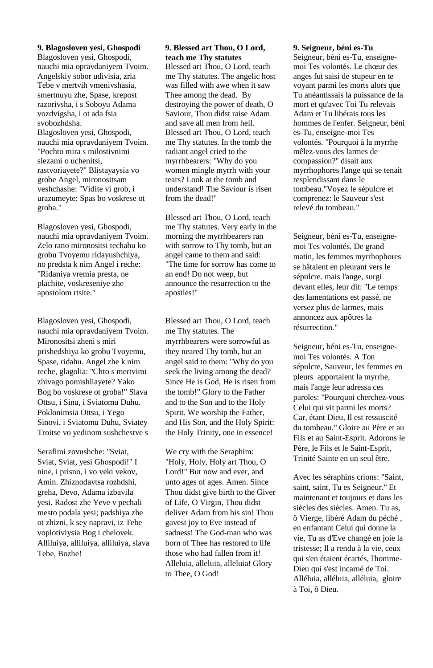**9. Blagosloven yesi, Ghospodi** Blagosloven yesi, Ghospodi, nauchi mia opravdaniyem Tvoim. Angelskiy sobor udivisia, zria Tebe v mertvih vmenivshasia, smertnuyu zhe, Spase, krepost razorivsha, i s Soboyu Adama vozdvigsha, i ot ada fsia svobozhdsha. Blagosloven yesi, Ghospodi, nauchi mia opravdaniyem Tvoim. "Pochto mira s milostivnimi slezami o uchenitsi, rastvoriayete?" Blistayaysia vo grobe Angel, mironositsam veshchashe: "Vidite vi grob, i urazumeyte: Spas bo voskrese ot groba."

Blagosloven yesi, Ghospodi, nauchi mia opravdaniyem Tvoim. Zelo rano mironositsi techahu ko grobu Tvoyemu ridayushchiya, no predsta k nim Angel i reche: "Ridaniya vremia presta, ne plachite, voskreseniye zhe apostolom rtsite."

Blagosloven yesi, Ghospodi, nauchi mia opravdaniyem Tvoim. Mironositsi zheni s miri prishedshiya ko grobu Tvoyemu, Spase, ridahu. Angel zhe k nim reche, glagolia: "Chto s mertvimi zhivago pomishliayete? Yako Bog bo voskrese ot groba!" Slava Ottsu, i Sinu, i Sviatomu Duhu. Poklonimsia Ottsu, i Yego Sinovi, i Sviatomu Duhu, Sviatey Troitse vo yedinom sushchestve s

Serafimi zovushche: "Sviat, Sviat, Sviat, yesi Ghospodi!" I nine, i prisno, i vo veki vekov, Amin. Zhiznodavtsa rozhdshi, greha, Devo, Adama izbavila yesi. Radost zhe Yeve v pechali mesto podala yesi; padshiya zhe ot zhizni, k sey napravi, iz Tebe voplotiviysia Bog i chelovek. Alliluiya, alliluiya, alliluiya, slava Tebe, Bozhe!

#### **9. Blessed art Thou, O Lord, teach me Thy statutes**

Blessed art Thou, O Lord, teach me Thy statutes. The angelic host was filled with awe when it saw Thee among the dead. By destroying the power of death, O Saviour, Thou didst raise Adam and save all men from hell. Blessed art Thou, O Lord, teach me Thy statutes. In the tomb the radiant angel cried to the myrrhbearers: "Why do you women mingle myrrh with your tears? Look at the tomb and understand! The Saviour is risen from the dead!"

Blessed art Thou, O Lord, teach me Thy statutes. Very early in the morning the myrrhbearers ran with sorrow to Thy tomb, but an angel came to them and said: "The time for sorrow has come to an end! Do not weep, but announce the resurrection to the apostles!"

Blessed art Thou, O Lord, teach me Thy statutes. The myrrhbearers were sorrowful as they neared Thy tomb, but an angel said to them: "Why do you seek the living among the dead? Since He is God, He is risen from the tomb!" Glory to the Father and to the Son and to the Holy Spirit. We worship the Father, and His Son, and the Holy Spirit: the Holy Trinity, one in essence!

We cry with the Seraphim: "Holy, Holy, Holy art Thou, O Lord!" But now and ever, and unto ages of ages. Amen. Since Thou didst give birth to the Giver of Life, O Virgin, Thou didst deliver Adam from his sin! Thou gavest joy to Eve instead of sadness! The God-man who was born of Thee has restored to life those who had fallen from it! Alleluia, alleluia, alleluia! Glory to Thee, O God!

#### **9. Seigneur, béni es-Tu**

Seigneur, béni es-Tu, enseignemoi Tes volontés. Le chœur des anges fut saisi de stupeur en te voyant parmi les morts alors que Tu anéantissais la puissance de la mort et qu'avec Toi Tu relevais Adam et Tu libérais tous les hommes de l'enfer. Seigneur, béni es-Tu, enseigne-moi Tes volontés. "Pourquoi à la myrrhe mêlez-vous des larmes de compassion?" disait aux myrrhophores l'ange qui se tenait resplendissant dans le tombeau."Voyez le sépulcre et comprenez: le Sauveur s'est relevé du tombeau."

Seigneur, béni es-Tu, enseignemoi Tes volontés. De grand matin, les femmes myrrhophores se hâtaient en pleurant vers le sépulcre. mais l'ange, surgi devant elles, leur dit: "Le temps des lamentations est passé, ne versez plus de larmes, mais annoncez aux apôtres la résurrection."

Seigneur, béni es-Tu, enseignemoi Tes volontés. A Ton sépulcre, Sauveur, les femmes en pleurs apportaient la myrrhe, mais l'ange leur adressa ces paroles: "Pourquoi cherchez-vous Celui qui vit parmi les morts? Car, étant Dieu, Il est ressuscité du tombeau." Gloire au Père et au Fils et au Saint-Esprit. Adorons le Père, le Fils et le Saint-Esprit, Trinité Sainte en un seul être.

Avec les séraphins crions: "Saint, saint, saint, Tu es Seigneur." Et maintenant et toujours et dans les siècles des siècles. Amen. Tu as, ô Vierge, libéré Adam du péché , en enfantant Celui qui donne la vie, Tu as d'Eve changé en joie la tristesse; Il a rendu à la vie, ceux qui s'en étaient écartés, l'homme-Dieu qui s'est incarné de Toi. Alléluia, alléluia, alléluia, gloire à Toi, ô Dieu.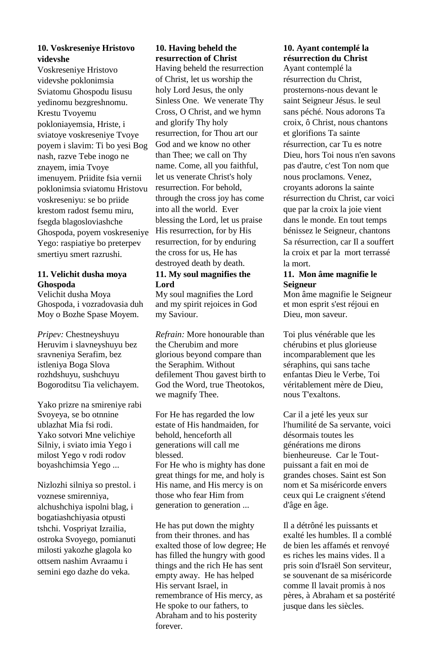### **10. Voskreseniye Hristovo videvshe**

Voskreseniye Hristovo videvshe poklonimsia Sviatomu Ghospodu Iisusu yedinomu bezgreshnomu. Krestu Tvoyemu pokloniayemsia, Hriste, i sviatoye voskreseniye Tvoye poyem i slavim: Ti bo yesi Bog nash, razve Tebe inogo ne znayem, imia Tvoye imenuyem. Priidite fsia vernii poklonimsia sviatomu Hristovu voskreseniyu: se bo priide krestom radost fsemu miru, fsegda blagosloviashche Ghospoda, poyem voskreseniye Yego: raspiatiye bo preterpev smertiyu smert razrushi.

#### **11. Velichit dusha moya Ghospoda**

Velichit dusha Moya Ghospoda, i vozradovasia duh Moy o Bozhe Spase Moyem.

*Pripev:* Chestneyshuyu Heruvim i slavneyshuyu bez sravneniya Serafim, bez istleniya Boga Slova rozhdshuyu, sushchuyu Bogoroditsu Tia velichayem.

Yako prizre na smireniye rabi Svoyeya, se bo otnnine ublazhat Mia fsi rodi. Yako sotvori Mne velichiye Silniy, i sviato imia Yego i milost Yego v rodi rodov boyashchimsia Yego ...

Nizlozhi silniya so prestol. i voznese smirenniya, alchushchiya ispolni blag, i bogatiashchiyasia otpusti tshchi. Vospriyat Izrailia, ostroka Svoyego, pomianuti milosti yakozhe glagola ko ottsem nashim Avraamu i semini ego dazhe do veka.

# **10. Having beheld the resurrection of Christ**

Having beheld the resurrection of Christ, let us worship the holy Lord Jesus, the only Sinless One. We venerate Thy Cross, O Christ, and we hymn and glorify Thy holy resurrection, for Thou art our God and we know no other than Thee; we call on Thy name. Come, all you faithful, let us venerate Christ's holy resurrection. For behold, through the cross joy has come into all the world. Ever blessing the Lord, let us praise His resurrection, for by His resurrection, for by enduring the cross for us, He has destroyed death by death.

### **11. My soul magnifies the Lord**

My soul magnifies the Lord and my spirit rejoices in God my Saviour.

*Refrain:* More honourable than the Cherubim and more glorious beyond compare than the Seraphim. Without defilement Thou gavest birth to God the Word, true Theotokos, we magnify Thee.

For He has regarded the low estate of His handmaiden, for behold, henceforth all generations will call me blessed.

For He who is mighty has done great things for me, and holy is His name, and His mercy is on those who fear Him from generation to generation ...

He has put down the mighty from their thrones and has exalted those of low degree; He has filled the hungry with good things and the rich He has sent empty away. He has helped His servant Israel, in remembrance of His mercy, as He spoke to our fathers, to Abraham and to his posterity forever.

# **10. Ayant contemplé la résurrection du Christ**

Ayant contemplé la résurrection du Christ, prosternons-nous devant le saint Seigneur Jésus. le seul sans péché. Nous adorons Ta croix, ô Christ, nous chantons et glorifions Ta sainte résurrection, car Tu es notre Dieu, hors Toi nous n'en savons pas d'autre, c'est Ton nom que nous proclamons. Venez, croyants adorons la sainte résurrection du Christ, car voici que par la croix la joie vient dans le monde. En tout temps bénissez le Seigneur, chantons Sa résurrection, car Il a souffert la croix et par la mort terrassé la mort.

#### **11. Mon âme magnifie le Seigneur**

Mon âme magnifie le Seigneur et mon esprit s'est réjoui en Dieu, mon saveur.

Toi plus vénérable que les chérubins et plus glorieuse incomparablement que les séraphins, qui sans tache enfantas Dieu le Verbe, Toi véritablement mère de Dieu, nous T'exaltons.

Car il a jeté les yeux sur l'humilité de Sa servante, voici désormais toutes les générations me dirons bienheureuse. Car le Toutpuissant a fait en moi de grandes choses. Saint est Son nom et Sa miséricorde envers ceux qui Le craignent s'étend d'âge en âge.

Il a détrôné les puissants et exalté les humbles. Il a comblé de bien les affamés et renvoyé es riches les mains vides. Il a pris soin d'Israël Son serviteur, se souvenant de sa miséricorde comme Il lavait promis à nos pères, à Abraham et sa postérité jusque dans les siècles.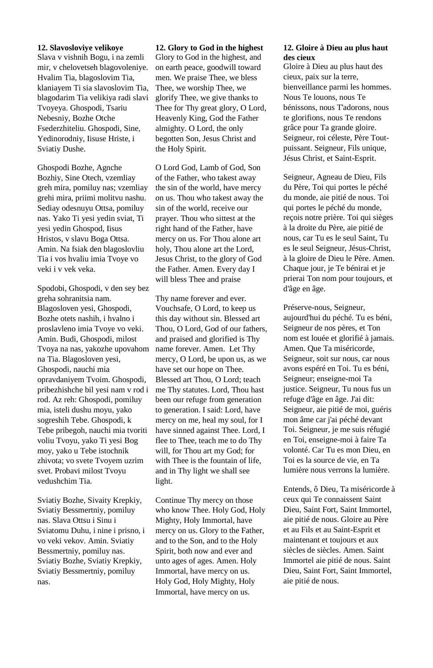#### **12. Slavosloviye velikoye**

Slava v vishnih Bogu, i na zemli mir, v chelovetseh blagovoleniye. Hvalim Tia, blagoslovim Tia, klaniayem Ti sia slavoslovim Tia, blagodarim Tia velikiya radi slavi Tvoyeya. Ghospodi, Tsariu Nebesniy, Bozhe Otche Fsederzhiteliu. Ghospodi, Sine, Yedinorodniy, Iisuse Hriste, i Sviatiy Dushe.

Ghospodi Bozhe, Agnche Bozhiy, Sine Otech, vzemliay greh mira, pomiluy nas; vzemliay grehi mira, priimi molitvu nashu. Sediay odesnuyu Ottsa, pomiluy nas. Yako Ti yesi yedin sviat, Ti yesi yedin Ghospod, Iisus Hristos, v slavu Boga Ottsa. Amin. Na fsiak den blagoslovliu Tia i vos hvaliu imia Tvoye vo veki i v vek veka.

Spodobi, Ghospodi, v den sey bez greha sohranitsia nam. Blagosloven yesi, Ghospodi, Bozhe otets nashih, i hvalno i proslavleno imia Tvoye vo veki. Amin. Budi, Ghospodi, milost Tvoya na nas, yakozhe upovahom na Tia. Blagosloven yesi, Ghospodi, nauchi mia opravdaniyem Tvoim. Ghospodi, pribezhishche bil yesi nam v rod i rod. Az reh: Ghospodi, pomiluy mia, isteli dushu moyu, yako sogreshih Tebe. Ghospodi, k Tebe pribegoh, nauchi mia tvoriti voliu Tvoyu, yako Ti yesi Bog moy, yako u Tebe istochnik zhivota; vo svete Tvoyem uzrim svet. Probavi milost Tvoyu vedushchim Tia.

Sviatiy Bozhe, Sivaity Krepkiy, Sviatiy Bessmertniy, pomiluy nas. Slava Ottsu i Sinu i Sviatomu Duhu, i nine i prisno, i vo veki vekov. Amin. Sviatiy Bessmertniy, pomiluy nas. Sviatiy Bozhe, Sviatiy Krepkiy, Sviatiy Bessmertniy, pomiluy nas.

#### **12. Glory to God in the highest**

Glory to God in the highest, and on earth peace, goodwill toward men. We praise Thee, we bless Thee, we worship Thee, we glorify Thee, we give thanks to Thee for Thy great glory, O Lord, Heavenly King, God the Father almighty. O Lord, the only begotten Son, Jesus Christ and the Holy Spirit.

O Lord God, Lamb of God, Son of the Father, who takest away the sin of the world, have mercy on us. Thou who takest away the sin of the world, receive our prayer. Thou who sittest at the right hand of the Father, have mercy on us. For Thou alone art holy, Thou alone art the Lord, Jesus Christ, to the glory of God the Father. Amen. Every day I will bless Thee and praise

Thy name forever and ever. Vouchsafe, O Lord, to keep us this day without sin. Blessed art Thou, O Lord, God of our fathers, and praised and glorified is Thy name forever. Amen. Let Thy mercy, O Lord, be upon us, as we have set our hope on Thee. Blessed art Thou, O Lord; teach me Thy statutes. Lord, Thou hast been our refuge from generation to generation. I said: Lord, have mercy on me, heal my soul, for I have sinned against Thee. Lord, I flee to Thee, teach me to do Thy will, for Thou art my God; for with Thee is the fountain of life, and in Thy light we shall see light.

Continue Thy mercy on those who know Thee. Holy God, Holy Mighty, Holy Immortal, have mercy on us. Glory to the Father, and to the Son, and to the Holy Spirit, both now and ever and unto ages of ages. Amen. Holy Immortal, have mercy on us. Holy God, Holy Mighty, Holy Immortal, have mercy on us.

#### **12. Gloire à Dieu au plus haut des cieux**

Gloire à Dieu au plus haut des cieux, paix sur la terre, bienveillance parmi les hommes. Nous Te louons, nous Te bénissons, nous T'adorons, nous te glorifions, nous Te rendons grâce pour Ta grande gloire. Seigneur, roi céleste, Père Toutpuissant. Seigneur, Fils unique, Jésus Christ, et Saint-Esprit.

Seigneur, Agneau de Dieu, Fils du Père, Toi qui portes le péché du monde, aie pitié de nous. Toi qui portes le péché du monde, reçois notre prière. Toi qui sièges à la droite du Père, aie pitié de nous, car Tu es le seul Saint, Tu es le seul Seigneur, Jésus-Christ, à la gloire de Dieu le Père. Amen. Chaque jour, je Te bénirai et je prierai Ton nom pour toujours, et d'âge en âge.

Préserve-nous, Seigneur, aujourd'hui du péché. Tu es béni, Seigneur de nos pères, et Ton nom est louée et glorifié à jamais. Amen. Que Ta miséricorde, Seigneur, soit sur nous, car nous avons espéré en Toi. Tu es béni, Seigneur; enseigne-moi Ta justice. Seigneur, Tu nous fus un refuge d'âge en âge. J'ai dit: Seigneur, aie pitié de moi, guéris mon âme car j'ai péché devant Toi. Seigneur, je me suis réfugié en Toi, enseigne-moi à faire Ta volonté. Car Tu es mon Dieu, en Toi es la source de vie, en Ta lumière nous verrons la lumière.

Entends, ô Dieu, Ta miséricorde à ceux qui Te connaissent Saint Dieu, Saint Fort, Saint Immortel, aie pitié de nous. Gloire au Père et au Fils et au Saint-Esprit et maintenant et toujours et aux siècles de siècles. Amen. Saint Immortel aie pitié de nous. Saint Dieu, Saint Fort, Saint Immortel, aie pitié de nous.